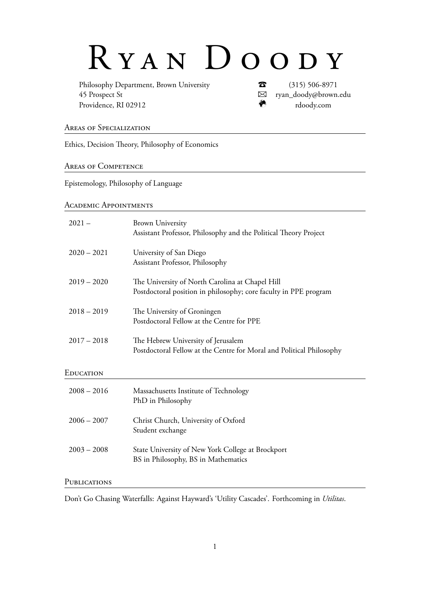# R Y A N D O O D Y

Philosophy Department, Brown University **T** (315) 506-8971 45 Prospect St B ryan\_doody@brown.edu Providence, RI 02912 m rdoody.com

Areas of Specialization

Ethics, Decision Theory, Philosophy of Economics

Areas of Competence

Epistemology, Philosophy of Language

Academic Appointments

| $2021 -$      | <b>Brown University</b><br>Assistant Professor, Philosophy and the Political Theory Project                         |
|---------------|---------------------------------------------------------------------------------------------------------------------|
| $2020 - 2021$ | University of San Diego<br>Assistant Professor, Philosophy                                                          |
| $2019 - 2020$ | The University of North Carolina at Chapel Hill<br>Postdoctoral position in philosophy; core faculty in PPE program |
| $2018 - 2019$ | The University of Groningen<br>Postdoctoral Fellow at the Centre for PPE                                            |
| $2017 - 2018$ | The Hebrew University of Jerusalem<br>Postdoctoral Fellow at the Centre for Moral and Political Philosophy          |
| EDUCATION     |                                                                                                                     |
| $2008 - 2016$ | Massachusetts Institute of Technology<br>PhD in Philosophy                                                          |
| $2006 - 2007$ | Christ Church, University of Oxford<br>Student exchange                                                             |
| $2003 - 2008$ | State University of New York College at Brockport<br>BS in Philosophy, BS in Mathematics                            |
| PUBLICATIONS  |                                                                                                                     |

Don't Go Chasing Waterfalls: Against Hayward's 'Utility Cascades'. Forthcoming in *Utilitas*.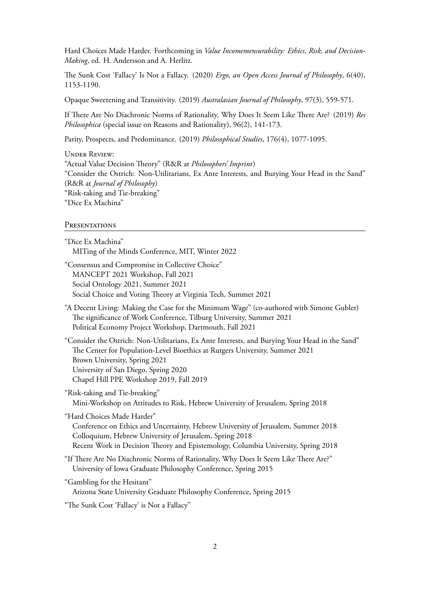Hard Choices Made Harder. Forthcoming in *Value Incomemensurability: Ethics, Risk, and Decision-Making*, ed. H. Andersson and A. Herlitz.

The Sunk Cost 'Fallacy' Is Not a Fallacy. (2020) *Ergo, an Open Access Journal of Philosophy*, 6(40), 1153-1190.

Opaque Sweetening and Transitivity. (2019) *Australasian Journal of Philosophy*, 97(3), 559-571.

If There Are No Diachronic Norms of Rationality, Why Does It Seem Like There Are? (2019) *Res Philosophica* (special issue on Reasons and Rationality), 96(2), 141-173.

Parity, Prospects, and Predominance. (2019) *Philosophical Studies*, 176(4), 1077-1095.

Under Review: "Actual Value Decision Theory" (R&R at *Philosophers' Imprint*) "Consider the Ostrich: Non-Utilitarians, Ex Ante Interests, and Burying Your Head in the Sand" (R&R at *Journal of Philosophy*) "Risk-taking and Tie-breaking" "Dice Ex Machina"

#### **PRESENTATIONS**

"Dice Ex Machina" MITing of the Minds Conference, MIT, Winter 2022

"Consensus and Compromise in Collective Choice" MANCEPT 2021 Workshop, Fall 2021 Social Ontology 2021, Summer 2021 Social Choice and Voting Theory at Virginia Tech, Summer 2021

"A Decent Living: Making the Case for the Minimum Wage" (co-authored with Simone Gubler) The significance of Work Conference, Tilburg University, Summer 2021 Political Economy Project Workshop, Dartmouth, Fall 2021

"Consider the Ostrich: Non-Utilitarians, Ex Ante Interests, and Burying Your Head in the Sand" The Center for Population-Level Bioethics at Rutgers University, Summer 2021 Brown University, Spring 2021 University of San Diego, Spring 2020 Chapel Hill PPE Workshop 2019, Fall 2019

- "Risk-taking and Tie-breaking" Mini-Workshop on Attitudes to Risk, Hebrew University of Jerusalem, Spring 2018
- "Hard Choices Made Harder"

Conference on Ethics and Uncertainty, Hebrew University of Jerusalem, Summer 2018 Colloquium, Hebrew University of Jerusalem, Spring 2018 Recent Work in Decision Theory and Epistemology, Columbia University, Spring 2018

"If There Are No Diachronic Norms of Rationality, Why Does It Seem Like There Are?" University of Iowa Graduate Philosophy Conference, Spring 2015

```
"Gambling for the Hesitant"
Arizona State University Graduate Philosophy Conference, Spring 2015
```
"The Sunk Cost 'Fallacy' is Not a Fallacy"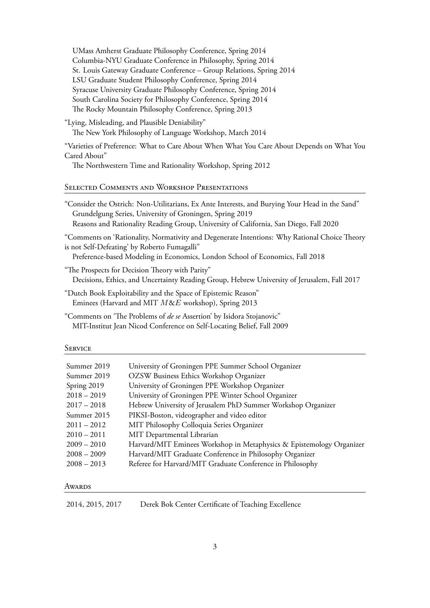| UMass Amherst Graduate Philosophy Conference, Spring 2014            |  |  |
|----------------------------------------------------------------------|--|--|
| Columbia-NYU Graduate Conference in Philosophy, Spring 2014          |  |  |
| St. Louis Gateway Graduate Conference - Group Relations, Spring 2014 |  |  |
| LSU Graduate Student Philosophy Conference, Spring 2014              |  |  |
| Syracuse University Graduate Philosophy Conference, Spring 2014      |  |  |
| South Carolina Society for Philosophy Conference, Spring 2014        |  |  |
| The Rocky Mountain Philosophy Conference, Spring 2013                |  |  |
|                                                                      |  |  |

"Lying, Misleading, and Plausible Deniability" The New York Philosophy of Language Workshop, March 2014

"Varieties of Preference: What to Care About When What You Care About Depends on What You Cared About"

The Northwestern Time and Rationality Workshop, Spring 2012

# Selected Comments and Workshop Presentations

| "Consider the Ostrich: Non-Utilitarians, Ex Ante Interests, and Burying Your Head in the Sand"                                                 |
|------------------------------------------------------------------------------------------------------------------------------------------------|
| Grundelgung Series, University of Groningen, Spring 2019                                                                                       |
| Reasons and Rationality Reading Group, University of California, San Diego, Fall 2020                                                          |
| "Comments on 'Rationality, Normativity and Degenerate Intentions: Why Rational Choice Theory<br>is not Self-Defeating' by Roberto Fumagalli"   |
| Preference-based Modeling in Economics, London School of Economics, Fall 2018                                                                  |
| "The Prospects for Decision Theory with Parity"<br>Decisions, Ethics, and Uncertainty Reading Group, Hebrew University of Jerusalem, Fall 2017 |
| "Dutch Book Exploitability and the Space of Epistemic Reason"                                                                                  |
|                                                                                                                                                |

Eminees (Harvard and MIT *M*&*E* workshop), Spring 2013

"Comments on 'The Problems of *de se* Assertion' by Isidora Stojanovic" MIT-Institut Jean Nicod Conference on Self-Locating Belief, Fall 2009

#### **SERVICE**

| Summer 2019   | University of Groningen PPE Summer School Organizer                  |
|---------------|----------------------------------------------------------------------|
| Summer 2019   | OZSW Business Ethics Workshop Organizer                              |
| Spring 2019   | University of Groningen PPE Workshop Organizer                       |
| $2018 - 2019$ | University of Groningen PPE Winter School Organizer                  |
| $2017 - 2018$ | Hebrew University of Jerusalem PhD Summer Workshop Organizer         |
| Summer 2015   | PIKSI-Boston, videographer and video editor                          |
| $2011 - 2012$ | MIT Philosophy Colloquia Series Organizer                            |
| $2010 - 2011$ | MIT Departmental Librarian                                           |
| $2009 - 2010$ | Harvard/MIT Eminees Workshop in Metaphysics & Epistemology Organizer |
| $2008 - 2009$ | Harvard/MIT Graduate Conference in Philosophy Organizer              |
| $2008 - 2013$ | Referee for Harvard/MIT Graduate Conference in Philosophy            |
|               |                                                                      |

## **AWARDS**

2014, 2015, 2017 Derek Bok Center Certificate of Teaching Excellence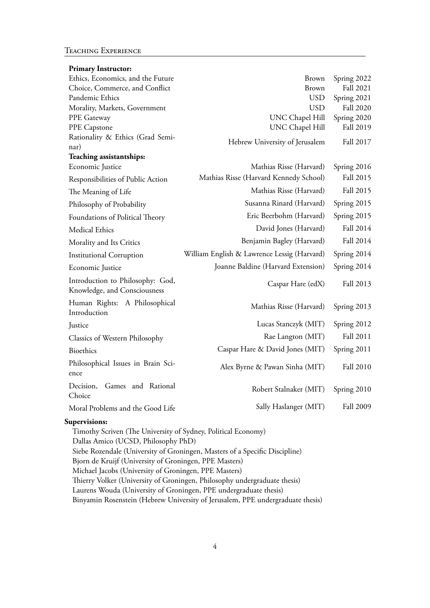### Teaching Experience

| <b>Primary Instructor:</b>                                       |                                             |                  |
|------------------------------------------------------------------|---------------------------------------------|------------------|
| Ethics, Economics, and the Future                                | <b>Brown</b>                                | Spring 2022      |
| Choice, Commerce, and Conflict                                   | <b>Brown</b>                                | Fall 2021        |
| Pandemic Ethics                                                  | <b>USD</b>                                  | Spring 2021      |
| Morality, Markets, Government                                    | <b>USD</b>                                  | <b>Fall 2020</b> |
| PPE Gateway                                                      | UNC Chapel Hill                             | Spring 2020      |
| PPE Capstone                                                     | UNC Chapel Hill                             | Fall 2019        |
| Rationality & Ethics (Grad Semi-                                 | Hebrew University of Jerusalem              | Fall 2017        |
| nar)<br>Teaching assistantships:                                 |                                             |                  |
| Economic Justice                                                 | Mathias Risse (Harvard)                     | Spring 2016      |
| Responsibilities of Public Action                                | Mathias Risse (Harvard Kennedy School)      | Fall 2015        |
| The Meaning of Life                                              | Mathias Risse (Harvard)                     | Fall 2015        |
| Philosophy of Probability                                        | Susanna Rinard (Harvard)                    | Spring 2015      |
| Foundations of Political Theory                                  | Eric Beerbohm (Harvard)                     | Spring 2015      |
| Medical Ethics                                                   | David Jones (Harvard)                       | Fall 2014        |
| Morality and Its Critics                                         | Benjamin Bagley (Harvard)                   | Fall 2014        |
| <b>Institutional Corruption</b>                                  | William English & Lawrence Lessig (Harvard) | Spring 2014      |
| Economic Justice                                                 | Joanne Baldine (Harvard Extension)          | Spring 2014      |
| Introduction to Philosophy: God,<br>Knowledge, and Consciousness | Caspar Hare (edX)                           | Fall 2013        |
| Human Rights: A Philosophical<br>Introduction                    | Mathias Risse (Harvard)                     | Spring 2013      |
| Justice                                                          | Lucas Stanczyk (MIT)                        | Spring 2012      |
| Classics of Western Philosophy                                   | Rae Langton (MIT)                           | Fall 2011        |
| <b>Bioethics</b>                                                 | Caspar Hare & David Jones (MIT)             | Spring 2011      |
| Philosophical Issues in Brain Sci-<br>ence                       | Alex Byrne & Pawan Sinha (MIT)              | <b>Fall 2010</b> |
| Decision,<br>Games and Rational<br>Choice                        | Robert Stalnaker (MIT)                      | Spring 2010      |
| Moral Problems and the Good Life                                 | Sally Haslanger (MIT)                       | <b>Fall 2009</b> |

## **Supervisions:**

Timothy Scriven (The University of Sydney, Political Economy) Dallas Amico (UCSD, Philosophy PhD) Siebe Rozendale (University of Groningen, Masters of a Specific Discipline) Bjorn de Kruijf (University of Groningen, PPE Masters) Michael Jacobs (University of Groningen, PPE Masters) Thierry Volker (University of Groningen, Philosophy undergraduate thesis) Laurens Wouda (University of Groningen, PPE undergraduate thesis) Binyamin Rosenstein (Hebrew University of Jerusalem, PPE undergraduate thesis)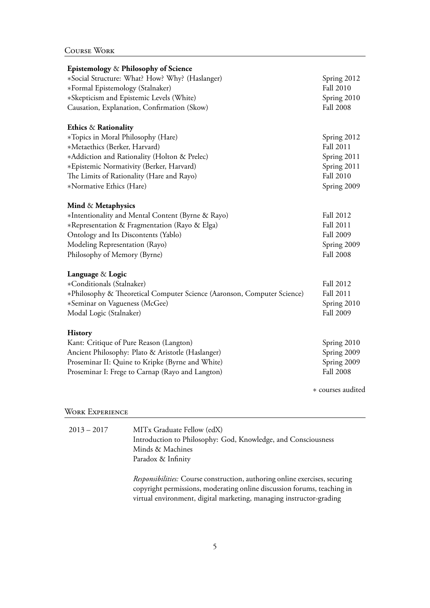| Epistemology & Philosophy of Science                                    |                   |
|-------------------------------------------------------------------------|-------------------|
| *Social Structure: What? How? Why? (Haslanger)                          | Spring 2012       |
| *Formal Epistemology (Stalnaker)                                        | Fall 2010         |
| *Skepticism and Epistemic Levels (White)                                | Spring 2010       |
| Causation, Explanation, Confirmation (Skow)                             | <b>Fall 2008</b>  |
| Ethics & Rationality                                                    |                   |
| *Topics in Moral Philosophy (Hare)                                      | Spring 2012       |
| *Metaethics (Berker, Harvard)                                           | Fall 2011         |
| *Addiction and Rationality (Holton & Prelec)                            | Spring 2011       |
| *Epistemic Normativity (Berker, Harvard)                                | Spring 2011       |
| The Limits of Rationality (Hare and Rayo)                               | <b>Fall 2010</b>  |
| *Normative Ethics (Hare)                                                | Spring 2009       |
| Mind & Metaphysics                                                      |                   |
| *Intentionality and Mental Content (Byrne & Rayo)                       | Fall 2012         |
| *Representation & Fragmentation (Rayo & Elga)                           | Fall 2011         |
| Ontology and Its Discontents (Yablo)                                    | Fall 2009         |
| Modeling Representation (Rayo)                                          | Spring 2009       |
| Philosophy of Memory (Byrne)                                            | <b>Fall 2008</b>  |
| Language & Logic                                                        |                   |
| *Conditionals (Stalnaker)                                               | Fall 2012         |
| *Philosophy & Theoretical Computer Science (Aaronson, Computer Science) | Fall 2011         |
| *Seminar on Vagueness (McGee)                                           | Spring 2010       |
| Modal Logic (Stalnaker)                                                 | Fall 2009         |
| <b>History</b>                                                          |                   |
| Kant: Critique of Pure Reason (Langton)                                 | Spring 2010       |
| Ancient Philosophy: Plato & Aristotle (Haslanger)                       | Spring 2009       |
| Proseminar II: Quine to Kripke (Byrne and White)                        | Spring 2009       |
| Proseminar I: Frege to Carnap (Rayo and Langton)                        | <b>Fall 2008</b>  |
|                                                                         | * courses audited |

# WORK EXPERIENCE

| $2013 - 2017$ | MITx Graduate Fellow (edX)                                                                    |
|---------------|-----------------------------------------------------------------------------------------------|
|               | Introduction to Philosophy: God, Knowledge, and Consciousness                                 |
|               | Minds & Machines                                                                              |
|               | Paradox & Infinity                                                                            |
|               |                                                                                               |
|               | <i><u><b>Deparaibilities:</b></u></i> Course construction, outboring online exercises, securi |

*Responsibilities:* Course construction, authoring online exercises, securing copyright permissions, moderating online discussion forums, teaching in virtual environment, digital marketing, managing instructor-grading